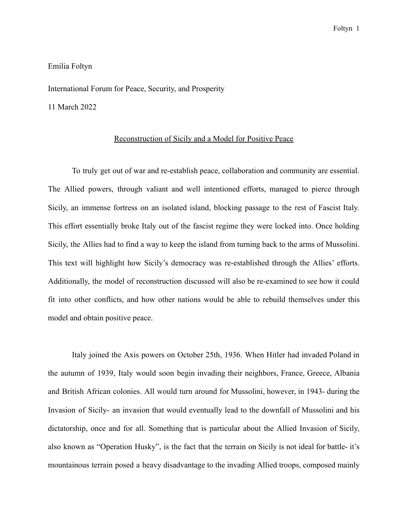## Emilia Foltyn

International Forum for Peace, Security, and Prosperity

11 March 2022

## Reconstruction of Sicily and a Model for Positive Peace

To truly get out of war and re-establish peace, collaboration and community are essential. The Allied powers, through valiant and well intentioned efforts, managed to pierce through Sicily, an immense fortress on an isolated island, blocking passage to the rest of Fascist Italy. This effort essentially broke Italy out of the fascist regime they were locked into. Once holding Sicily, the Allies had to find a way to keep the island from turning back to the arms of Mussolini. This text will highlight how Sicily's democracy was re-established through the Allies' efforts. Additionally, the model of reconstruction discussed will also be re-examined to see how it could fit into other conflicts, and how other nations would be able to rebuild themselves under this model and obtain positive peace.

Italy joined the Axis powers on October 25th, 1936. When Hitler had invaded Poland in the autumn of 1939, Italy would soon begin invading their neighbors, France, Greece, Albania and British African colonies. All would turn around for Mussolini, however, in 1943- during the Invasion of Sicily- an invasion that would eventually lead to the downfall of Mussolini and his dictatorship, once and for all. Something that is particular about the Allied Invasion of Sicily, also known as "Operation Husky", is the fact that the terrain on Sicily is not ideal for battle- it's mountainous terrain posed a heavy disadvantage to the invading Allied troops, composed mainly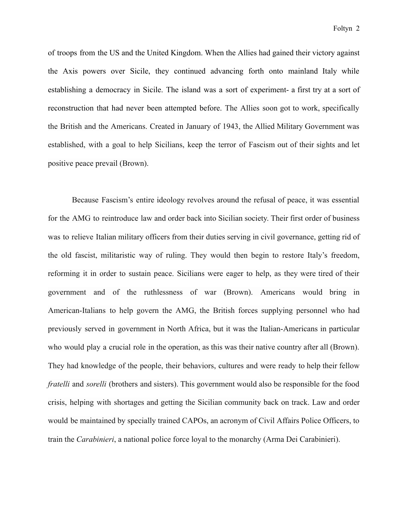of troops from the US and the United Kingdom. When the Allies had gained their victory against the Axis powers over Sicile, they continued advancing forth onto mainland Italy while establishing a democracy in Sicile. The island was a sort of experiment- a first try at a sort of reconstruction that had never been attempted before. The Allies soon got to work, specifically the British and the Americans. Created in January of 1943, the Allied Military Government was established, with a goal to help Sicilians, keep the terror of Fascism out of their sights and let positive peace prevail (Brown).

Because Fascism's entire ideology revolves around the refusal of peace, it was essential for the AMG to reintroduce law and order back into Sicilian society. Their first order of business was to relieve Italian military officers from their duties serving in civil governance, getting rid of the old fascist, militaristic way of ruling. They would then begin to restore Italy's freedom, reforming it in order to sustain peace. Sicilians were eager to help, as they were tired of their government and of the ruthlessness of war (Brown). Americans would bring in American-Italians to help govern the AMG, the British forces supplying personnel who had previously served in government in North Africa, but it was the Italian-Americans in particular who would play a crucial role in the operation, as this was their native country after all (Brown). They had knowledge of the people, their behaviors, cultures and were ready to help their fellow *fratelli* and *sorelli* (brothers and sisters). This government would also be responsible for the food crisis, helping with shortages and getting the Sicilian community back on track. Law and order would be maintained by specially trained CAPOs, an acronym of Civil Affairs Police Officers, to train the *Carabinieri*, a national police force loyal to the monarchy (Arma Dei Carabinieri).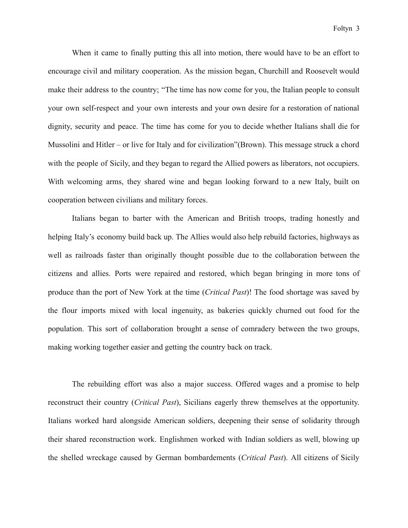When it came to finally putting this all into motion, there would have to be an effort to encourage civil and military cooperation. As the mission began, Churchill and Roosevelt would make their address to the country; "The time has now come for you, the Italian people to consult your own self-respect and your own interests and your own desire for a restoration of national dignity, security and peace. The time has come for you to decide whether Italians shall die for Mussolini and Hitler – or live for Italy and for civilization"(Brown). This message struck a chord with the people of Sicily, and they began to regard the Allied powers as liberators, not occupiers. With welcoming arms, they shared wine and began looking forward to a new Italy, built on cooperation between civilians and military forces.

Italians began to barter with the American and British troops, trading honestly and helping Italy's economy build back up. The Allies would also help rebuild factories, highways as well as railroads faster than originally thought possible due to the collaboration between the citizens and allies. Ports were repaired and restored, which began bringing in more tons of produce than the port of New York at the time (*Critical Past*)! The food shortage was saved by the flour imports mixed with local ingenuity, as bakeries quickly churned out food for the population. This sort of collaboration brought a sense of comradery between the two groups, making working together easier and getting the country back on track.

The rebuilding effort was also a major success. Offered wages and a promise to help reconstruct their country (*Critical Past*), Sicilians eagerly threw themselves at the opportunity. Italians worked hard alongside American soldiers, deepening their sense of solidarity through their shared reconstruction work. Englishmen worked with Indian soldiers as well, blowing up the shelled wreckage caused by German bombardements (*Critical Past*). All citizens of Sicily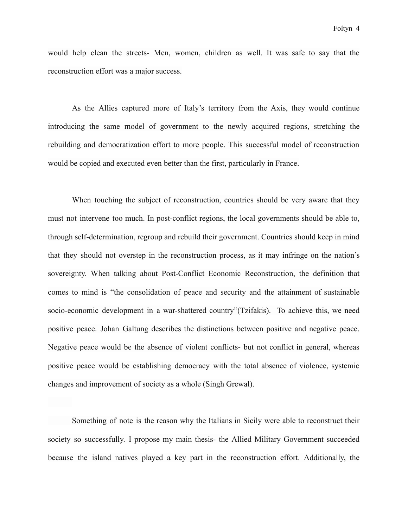would help clean the streets- Men, women, children as well. It was safe to say that the reconstruction effort was a major success.

As the Allies captured more of Italy's territory from the Axis, they would continue introducing the same model of government to the newly acquired regions, stretching the rebuilding and democratization effort to more people. This successful model of reconstruction would be copied and executed even better than the first, particularly in France.

When touching the subject of reconstruction, countries should be very aware that they must not intervene too much. In post-conflict regions, the local governments should be able to, through self-determination, regroup and rebuild their government. Countries should keep in mind that they should not overstep in the reconstruction process, as it may infringe on the nation's sovereignty. When talking about Post-Conflict Economic Reconstruction, the definition that comes to mind is "the consolidation of peace and security and the attainment of sustainable socio-economic development in a war-shattered country"(Tzifakis). To achieve this, we need positive peace. Johan Galtung describes the distinctions between positive and negative peace. Negative peace would be the absence of violent conflicts- but not conflict in general, whereas positive peace would be establishing democracy with the total absence of violence, systemic changes and improvement of society as a whole (Singh Grewal).

Something of note is the reason why the Italians in Sicily were able to reconstruct their society so successfully. I propose my main thesis- the Allied Military Government succeeded because the island natives played a key part in the reconstruction effort. Additionally, the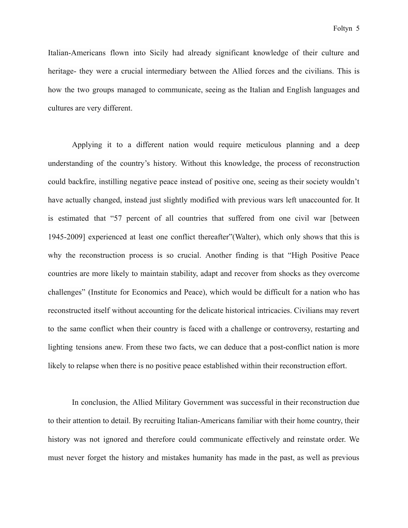Italian-Americans flown into Sicily had already significant knowledge of their culture and heritage- they were a crucial intermediary between the Allied forces and the civilians. This is how the two groups managed to communicate, seeing as the Italian and English languages and cultures are very different.

Applying it to a different nation would require meticulous planning and a deep understanding of the country's history. Without this knowledge, the process of reconstruction could backfire, instilling negative peace instead of positive one, seeing as their society wouldn't have actually changed, instead just slightly modified with previous wars left unaccounted for. It is estimated that "57 percent of all countries that suffered from one civil war [between 1945-2009] experienced at least one conflict thereafter"(Walter), which only shows that this is why the reconstruction process is so crucial. Another finding is that "High Positive Peace countries are more likely to maintain stability, adapt and recover from shocks as they overcome challenges" (Institute for Economics and Peace), which would be difficult for a nation who has reconstructed itself without accounting for the delicate historical intricacies. Civilians may revert to the same conflict when their country is faced with a challenge or controversy, restarting and lighting tensions anew. From these two facts, we can deduce that a post-conflict nation is more likely to relapse when there is no positive peace established within their reconstruction effort.

In conclusion, the Allied Military Government was successful in their reconstruction due to their attention to detail. By recruiting Italian-Americans familiar with their home country, their history was not ignored and therefore could communicate effectively and reinstate order. We must never forget the history and mistakes humanity has made in the past, as well as previous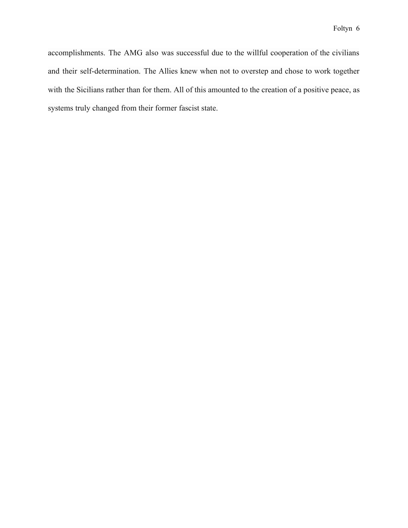accomplishments. The AMG also was successful due to the willful cooperation of the civilians and their self-determination. The Allies knew when not to overstep and chose to work together with the Sicilians rather than for them. All of this amounted to the creation of a positive peace, as systems truly changed from their former fascist state.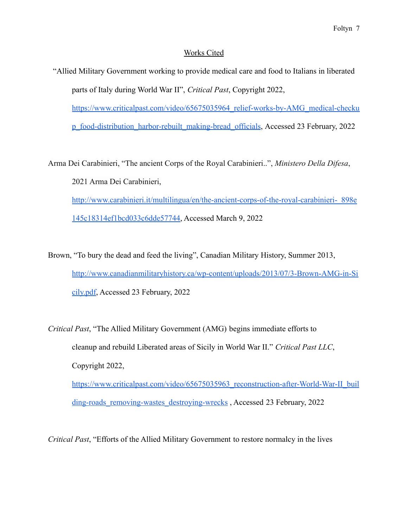## Works Cited

"Allied Military Government working to provide medical care and food to Italians in liberated parts of Italy during World War II", *Critical Past*, Copyright 2022, [https://www.criticalpast.com/video/65675035964\\_relief-works-by-AMG\\_medical-checku](https://www.criticalpast.com/video/65675035964_relief-works-by-AMG_medical-checkup_food-distribution_harbor-rebuilt_making-bread_officials)

[p\\_food-distribution\\_harbor-rebuilt\\_making-bread\\_officials](https://www.criticalpast.com/video/65675035964_relief-works-by-AMG_medical-checkup_food-distribution_harbor-rebuilt_making-bread_officials), Accessed 23 February, 2022

Arma Dei Carabinieri, "The ancient Corps of the Royal Carabinieri..", *Ministero Della Difesa*, 2021 Arma Dei Carabinieri, http://www.carabinieri.it/multilingua/en/the-ancient-corps-of-the-royal-carabinieri- 898e [145c18314ef1bcd033c6dde57744,](http://www.carabinieri.it/multilingua/en/the-ancient-corps-of-the-royal-carabinieri-_898e145c18314ef1bcd033c6dde57744) Accessed March 9, 2022

Brown, "To bury the dead and feed the living", Canadian Military History, Summer 2013, [http://www.canadianmilitaryhistory.ca/wp-content/uploads/2013/07/3-Brown-AMG-in-Si](http://www.canadianmilitaryhistory.ca/wp-content/uploads/2013/07/3-Brown-AMG-in-Sicily.pdf) [cily.pdf](http://www.canadianmilitaryhistory.ca/wp-content/uploads/2013/07/3-Brown-AMG-in-Sicily.pdf), Accessed 23 February, 2022

*Critical Past*, "The Allied Military Government (AMG) begins immediate efforts to cleanup and rebuild Liberated areas of Sicily in World War II." *Critical Past LLC*, Copyright 2022, [https://www.criticalpast.com/video/65675035963\\_reconstruction-after-World-War-II\\_buil](https://www.criticalpast.com/video/65675035963_reconstruction-after-World-War-II_building-roads_removing-wastes_destroying-wrecks)

[ding-roads\\_removing-wastes\\_destroying-wrecks](https://www.criticalpast.com/video/65675035963_reconstruction-after-World-War-II_building-roads_removing-wastes_destroying-wrecks), Accessed 23 February, 2022

*Critical Past*, "Efforts of the Allied Military Government to restore normalcy in the lives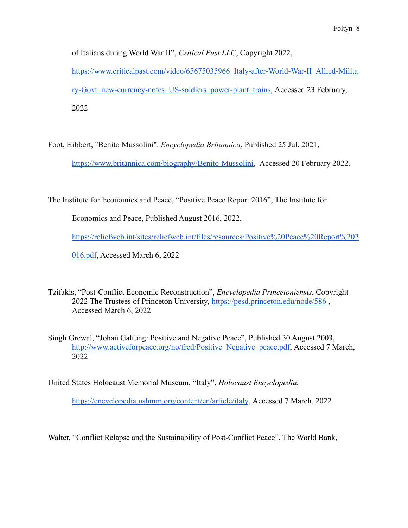of Italians during World War II", *Critical Past LLC*, Copyright 2022, [https://www.criticalpast.com/video/65675035966\\_Italy-after-World-War-II\\_Allied-Milita](https://www.criticalpast.com/video/65675035966_Italy-after-World-War-II_Allied-Military-Govt_new-currency-notes_US-soldiers_power-plant_trains) [ry-Govt\\_new-currency-notes\\_US-soldiers\\_power-plant\\_trains](https://www.criticalpast.com/video/65675035966_Italy-after-World-War-II_Allied-Military-Govt_new-currency-notes_US-soldiers_power-plant_trains), Accessed 23 February,

2022

Foot, Hibbert, "Benito Mussolini". *Encyclopedia Britannica*, Published 25 Jul. 2021,

[https://www.britannica.com/biography/Benito-Mussolini,](https://www.britannica.com/biography/Benito-Mussolini) Accessed 20 February 2022.

The Institute for Economics and Peace, "Positive Peace Report 2016", The Institute for

Economics and Peace, Published August 2016, 2022,

[https://reliefweb.int/sites/reliefweb.int/files/resources/Positive%20Peace%20Report%202](https://reliefweb.int/sites/reliefweb.int/files/resources/Positive%20Peace%20Report%202016.pdf)

[016.pdf,](https://reliefweb.int/sites/reliefweb.int/files/resources/Positive%20Peace%20Report%202016.pdf) Accessed March 6, 2022

Tzifakis, "Post-Conflict Economic Reconstruction", *Encyclopedia Princetoniensis*, Copyright 2022 The Trustees of Princeton University, <https://pesd.princeton.edu/node/586> , Accessed March 6, 2022

Singh Grewal, "Johan Galtung: Positive and Negative Peace", Published 30 August 2003, [http://www.activeforpeace.org/no/fred/Positive\\_Negative\\_peace.pdf](http://www.activeforpeace.org/no/fred/Positive_Negative_peace.pdf), Accessed 7 March, 2022

United States Holocaust Memorial Museum, "Italy", *Holocaust Encyclopedia*,

<https://encyclopedia.ushmm.org/content/en/article/italy>, Accessed 7 March, 2022

Walter, "Conflict Relapse and the Sustainability of Post-Conflict Peace", The World Bank,